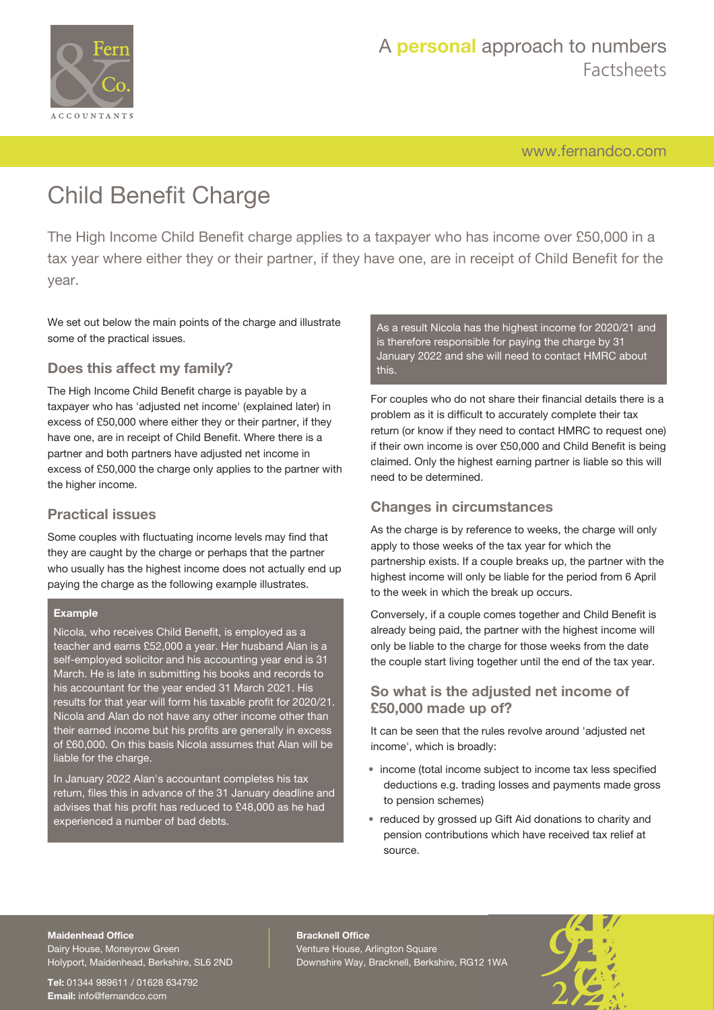

# A **personal** approach to numbers Factsheets

[www.fernandco.com](http://www.fernandco.com)

# Child Benefit Charge

The High Income Child Benefit charge applies to a taxpayer who has income over £50,000 in a tax year where either they or their partner, if they have one, are in receipt of Child Benefit for the year.

We set out below the main points of the charge and illustrate some of the practical issues.

### **Does this affect my family?**

The High Income Child Benefit charge is payable by a taxpayer who has 'adjusted net income' (explained later) in excess of £50,000 where either they or their partner, if they have one, are in receipt of Child Benefit. Where there is a partner and both partners have adjusted net income in excess of £50,000 the charge only applies to the partner with the higher income.

#### **Practical issues**

Some couples with fluctuating income levels may find that they are caught by the charge or perhaps that the partner who usually has the highest income does not actually end up paying the charge as the following example illustrates.

#### **Example**

Nicola, who receives Child Benefit, is employed as a teacher and earns £52,000 a year. Her husband Alan is a self-employed solicitor and his accounting year end is 31 March. He is late in submitting his books and records to his accountant for the year ended 31 March 2021. His results for that year will form his taxable profit for 2020/21. Nicola and Alan do not have any other income other than their earned income but his profits are generally in excess of £60,000. On this basis Nicola assumes that Alan will be liable for the charge.

In January 2022 Alan's accountant completes his tax return, files this in advance of the 31 January deadline and advises that his profit has reduced to £48,000 as he had experienced a number of bad debts.

As a result Nicola has the highest income for 2020/21 and is therefore responsible for paying the charge by 31 January 2022 and she will need to contact HMRC about this.

For couples who do not share their financial details there is a problem as it is difficult to accurately complete their tax return (or know if they need to contact HMRC to request one) if their own income is over £50,000 and Child Benefit is being claimed. Only the highest earning partner is liable so this will need to be determined.

### **Changes in circumstances**

As the charge is by reference to weeks, the charge will only apply to those weeks of the tax year for which the partnership exists. If a couple breaks up, the partner with the highest income will only be liable for the period from 6 April to the week in which the break up occurs.

Conversely, if a couple comes together and Child Benefit is already being paid, the partner with the highest income will only be liable to the charge for those weeks from the date the couple start living together until the end of the tax year.

#### **So what is the adjusted net income of £50,000 made up of?**

It can be seen that the rules revolve around 'adjusted net income', which is broadly:

- income (total income subject to income tax less specified deductions e.g. trading losses and payments made gross to pension schemes)
- reduced by grossed up Gift Aid donations to charity and pension contributions which have received tax relief at source.

#### **Maidenhead Office**

Dairy House, Moneyrow Green Holyport, Maidenhead, Berkshire, SL6 2ND

**Tel:** 01344 989611 / 01628 634792 **Email:** [info@fernandco.com](mailto:info@fernandco.com)

**Bracknell Office** Venture House, Arlington Square Downshire Way, Bracknell, Berkshire, RG12 1WA

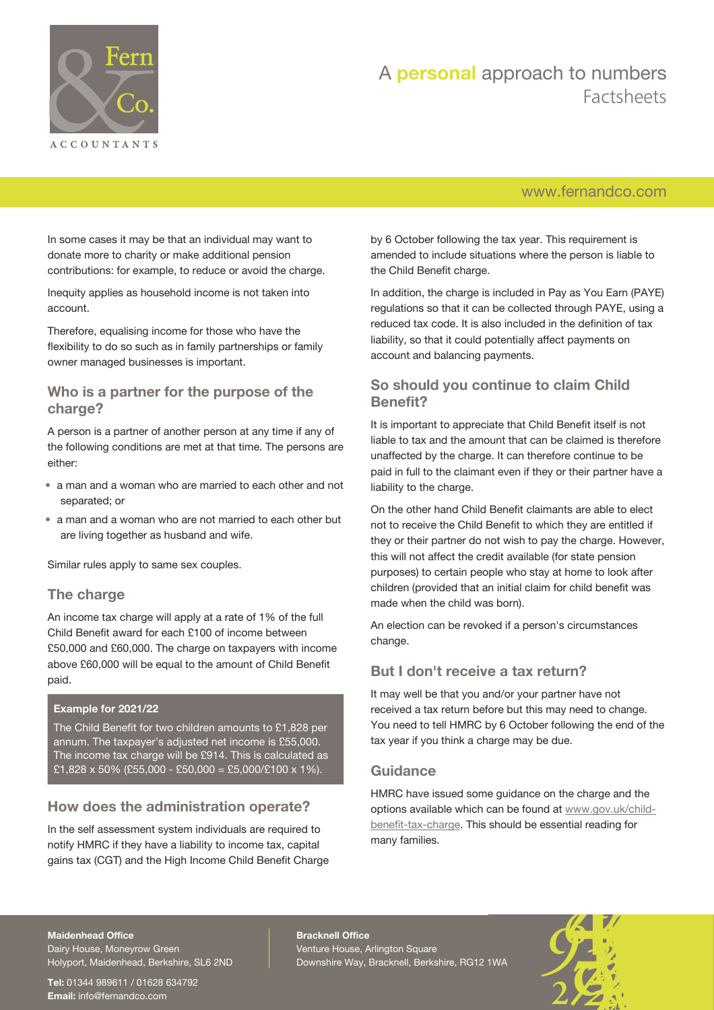

# A **personal** approach to numbers Factsheets

## [www.fernandco.com](http://www.fernandco.com)

In some cases it may be that an individual may want to donate more to charity or make additional pension contributions: for example, to reduce or avoid the charge.

Inequity applies as household income is not taken into account.

Therefore, equalising income for those who have the flexibility to do so such as in family partnerships or family owner managed businesses is important.

#### **Who is a partner for the purpose of the charge?**

A person is a partner of another person at any time if any of the following conditions are met at that time. The persons are either:

- a man and a woman who are married to each other and not separated; or
- a man and a woman who are not married to each other but are living together as husband and wife.

Similar rules apply to same sex couples.

#### **The charge**

An income tax charge will apply at a rate of 1% of the full Child Benefit award for each £100 of income between £50,000 and £60,000. The charge on taxpayers with income above £60,000 will be equal to the amount of Child Benefit paid.

#### **Example for 2021/22**

The Child Benefit for two children amounts to £1,828 per annum. The taxpayer's adjusted net income is £55,000. The income tax charge will be £914. This is calculated as £1,828 x 50% (£55,000 - £50,000 = £5,000/£100 x 1%).

#### **How does the administration operate?**

In the self assessment system individuals are required to notify HMRC if they have a liability to income tax, capital gains tax (CGT) and the High Income Child Benefit Charge by 6 October following the tax year. This requirement is amended to include situations where the person is liable to the Child Benefit charge.

In addition, the charge is included in Pay as You Earn (PAYE) regulations so that it can be collected through PAYE, using a reduced tax code. It is also included in the definition of tax liability, so that it could potentially affect payments on account and balancing payments.

### **So should you continue to claim Child Benefit?**

It is important to appreciate that Child Benefit itself is not liable to tax and the amount that can be claimed is therefore unaffected by the charge. It can therefore continue to be paid in full to the claimant even if they or their partner have a liability to the charge.

On the other hand Child Benefit claimants are able to elect not to receive the Child Benefit to which they are entitled if they or their partner do not wish to pay the charge. However, this will not affect the credit available (for state pension purposes) to certain people who stay at home to look after children (provided that an initial claim for child benefit was made when the child was born).

An election can be revoked if a person's circumstances change.

#### **But I don't receive a tax return?**

It may well be that you and/or your partner have not received a tax return before but this may need to change. You need to tell HMRC by 6 October following the end of the tax year if you think a charge may be due.

#### **Guidance**

HMRC have issued some guidance on the charge and the options available which can be found at [www.gov.uk/child](https://www.gov.uk/child-benefit-tax-charge)[benefit-tax-charge](https://www.gov.uk/child-benefit-tax-charge). This should be essential reading for many families.

#### **Maidenhead Office**

Dairy House, Moneyrow Green Holyport, Maidenhead, Berkshire, SL6 2ND

**Tel:** 01344 989611 / 01628 634792 **Email:** [info@fernandco.com](mailto:info@fernandco.com)

**Bracknell Office** Venture House, Arlington Square Downshire Way, Bracknell, Berkshire, RG12 1WA